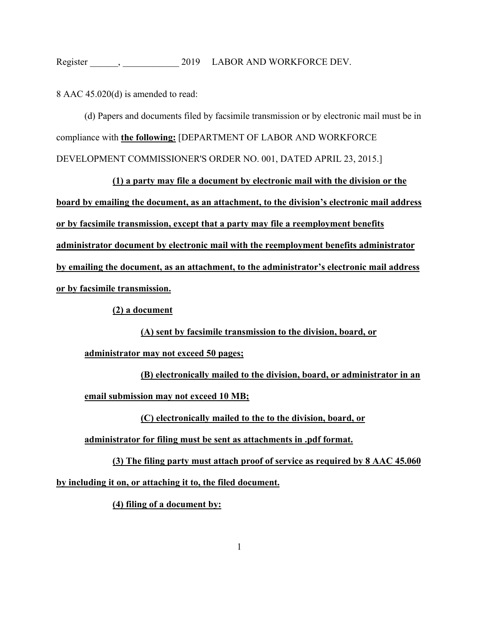8 AAC 45.020(d) is amended to read:

(d) Papers and documents filed by facsimile transmission or by electronic mail must be in compliance with **the following:** [DEPARTMENT OF LABOR AND WORKFORCE DEVELOPMENT COMMISSIONER'S ORDER NO. 001, DATED APRIL 23, 2015.]

**(1) a party may file a document by electronic mail with the division or the board by emailing the document, as an attachment, to the division's electronic mail address or by facsimile transmission, except that a party may file a reemployment benefits administrator document by electronic mail with the reemployment benefits administrator by emailing the document, as an attachment, to the administrator's electronic mail address or by facsimile transmission.** 

**(2) a document** 

**(A) sent by facsimile transmission to the division, board, or** 

**administrator may not exceed 50 pages;** 

**(B) electronically mailed to the division, board, or administrator in an email submission may not exceed 10 MB;** 

**(C) electronically mailed to the to the division, board, or** 

**administrator for filing must be sent as attachments in .pdf format.** 

**(3) The filing party must attach proof of service as required by 8 AAC 45.060 by including it on, or attaching it to, the filed document.** 

**(4) filing of a document by:**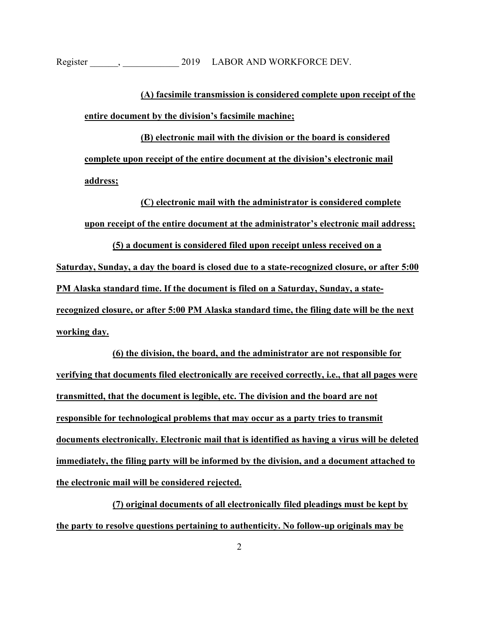**(A) facsimile transmission is considered complete upon receipt of the entire document by the division's facsimile machine;** 

**(B) electronic mail with the division or the board is considered complete upon receipt of the entire document at the division's electronic mail address;** 

**(C) electronic mail with the administrator is considered complete upon receipt of the entire document at the administrator's electronic mail address; (5) a document is considered filed upon receipt unless received on a** 

**Saturday, Sunday, a day the board is closed due to a state-recognized closure, or after 5:00 PM Alaska standard time. If the document is filed on a Saturday, Sunday, a staterecognized closure, or after 5:00 PM Alaska standard time, the filing date will be the next working day.** 

**(6) the division, the board, and the administrator are not responsible for verifying that documents filed electronically are received correctly, i.e., that all pages were transmitted, that the document is legible, etc. The division and the board are not responsible for technological problems that may occur as a party tries to transmit documents electronically. Electronic mail that is identified as having a virus will be deleted immediately, the filing party will be informed by the division, and a document attached to the electronic mail will be considered rejected.** 

**(7) original documents of all electronically filed pleadings must be kept by the party to resolve questions pertaining to authenticity. No follow-up originals may be**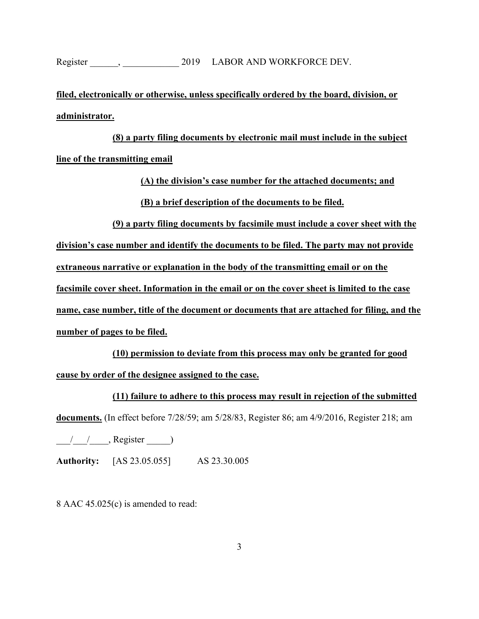**filed, electronically or otherwise, unless specifically ordered by the board, division, or administrator.** 

**(8) a party filing documents by electronic mail must include in the subject line of the transmitting email** 

**(A) the division's case number for the attached documents; and** 

**(B) a brief description of the documents to be filed.** 

**(9) a party filing documents by facsimile must include a cover sheet with the** 

**division's case number and identify the documents to be filed. The party may not provide** 

**extraneous narrative or explanation in the body of the transmitting email or on the** 

**facsimile cover sheet. Information in the email or on the cover sheet is limited to the case** 

**name, case number, title of the document or documents that are attached for filing, and the number of pages to be filed.** 

**(10) permission to deviate from this process may only be granted for good cause by order of the designee assigned to the case.** 

**(11) failure to adhere to this process may result in rejection of the submitted** 

**documents.** (In effect before 7/28/59; am 5/28/83, Register 86; am 4/9/2016, Register 218; am

 $\frac{1}{2}$  , Register  $\frac{1}{2}$ 

**Authority:** [AS 23.05.055] AS 23.30.005

8 AAC 45.025(c) is amended to read: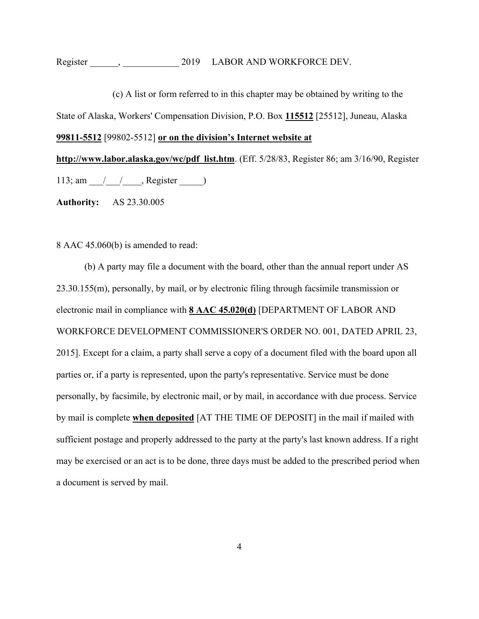(c) A list or form referred to in this chapter may be obtained by writing to the State of Alaska, Workers' Compensation Division, P.O. Box **115512** [25512], Juneau, Alaska **99811-5512** [99802-5512] **or on the division's Internet website at** 

**http://www.labor.alaska.gov/wc/pdf\_list.htm**. (Eff. 5/28/83, Register 86; am 3/16/90, Register 113; am  $/$  / , Register )

**Authority:** AS 23.30.005

8 AAC 45.060(b) is amended to read:

(b) A party may file a document with the board, other than the annual report under AS 23.30.155(m), personally, by mail, or by electronic filing through facsimile transmission or electronic mail in compliance with **8 AAC 45.020(d)** [DEPARTMENT OF LABOR AND WORKFORCE DEVELOPMENT COMMISSIONER'S ORDER NO. 001, DATED APRIL 23, 2015]. Except for a claim, a party shall serve a copy of a document filed with the board upon all parties or, if a party is represented, upon the party's representative. Service must be done personally, by facsimile, by electronic mail, or by mail, in accordance with due process. Service by mail is complete **when deposited** [AT THE TIME OF DEPOSIT] in the mail if mailed with sufficient postage and properly addressed to the party at the party's last known address. If a right may be exercised or an act is to be done, three days must be added to the prescribed period when a document is served by mail.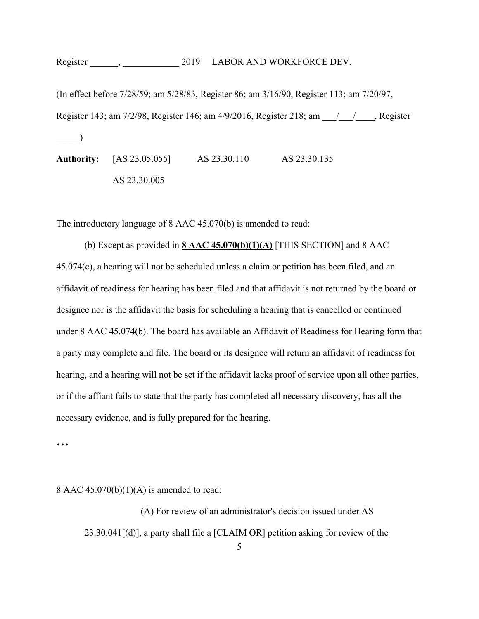Register , 2019 LABOR AND WORKFORCE DEV.

(In effect before 7/28/59; am 5/28/83, Register 86; am 3/16/90, Register 113; am 7/20/97, Register 143; am 7/2/98, Register 146; am 4/9/2016, Register 218; am  $\qquad / \qquad$ , Register  $\Box$ **Authority:** [AS 23.05.055] AS 23.30.110 AS 23.30.135 AS 23.30.005

The introductory language of 8 AAC 45.070(b) is amended to read:

(b) Except as provided in **8 AAC 45.070(b)(1)(A)** [THIS SECTION] and 8 AAC 45.074(c), a hearing will not be scheduled unless a claim or petition has been filed, and an affidavit of readiness for hearing has been filed and that affidavit is not returned by the board or designee nor is the affidavit the basis for scheduling a hearing that is cancelled or continued under 8 AAC 45.074(b). The board has available an Affidavit of Readiness for Hearing form that a party may complete and file. The board or its designee will return an affidavit of readiness for hearing, and a hearing will not be set if the affidavit lacks proof of service upon all other parties, or if the affiant fails to state that the party has completed all necessary discovery, has all the necessary evidence, and is fully prepared for the hearing.

**…** 

8 AAC  $45.070(b)(1)(A)$  is amended to read:

5 (A) For review of an administrator's decision issued under AS 23.30.041[(d)], a party shall file a [CLAIM OR] petition asking for review of the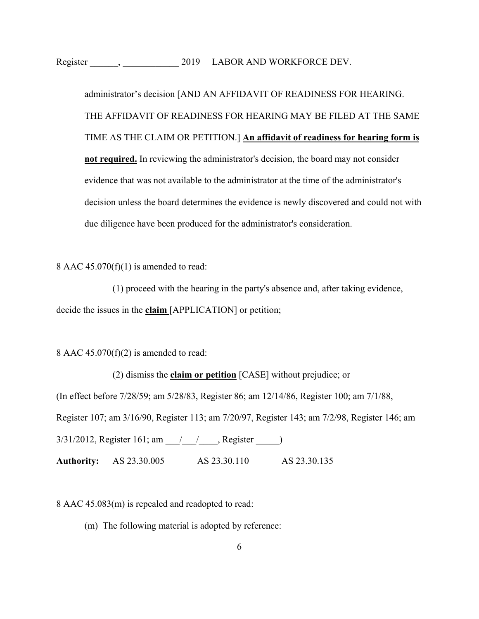administrator's decision [AND AN AFFIDAVIT OF READINESS FOR HEARING. THE AFFIDAVIT OF READINESS FOR HEARING MAY BE FILED AT THE SAME TIME AS THE CLAIM OR PETITION.] **An affidavit of readiness for hearing form is not required.** In reviewing the administrator's decision, the board may not consider evidence that was not available to the administrator at the time of the administrator's decision unless the board determines the evidence is newly discovered and could not with due diligence have been produced for the administrator's consideration.

8 AAC  $45.070(f)(1)$  is amended to read:

(1) proceed with the hearing in the party's absence and, after taking evidence, decide the issues in the **claim** [APPLICATION] or petition;

8 AAC  $45.070(f)(2)$  is amended to read:

(2) dismiss the **claim or petition** [CASE] without prejudice; or

(In effect before 7/28/59; am 5/28/83, Register 86; am 12/14/86, Register 100; am 7/1/88,

Register 107; am 3/16/90, Register 113; am 7/20/97, Register 143; am 7/2/98, Register 146; am

3/31/2012, Register 161; am \_\_\_/\_\_\_\_/\_\_\_\_, Register \_\_\_\_\_\_)

**Authority:** AS 23.30.005 AS 23.30.110 AS 23.30.135

8 AAC 45.083(m) is repealed and readopted to read:

(m) The following material is adopted by reference: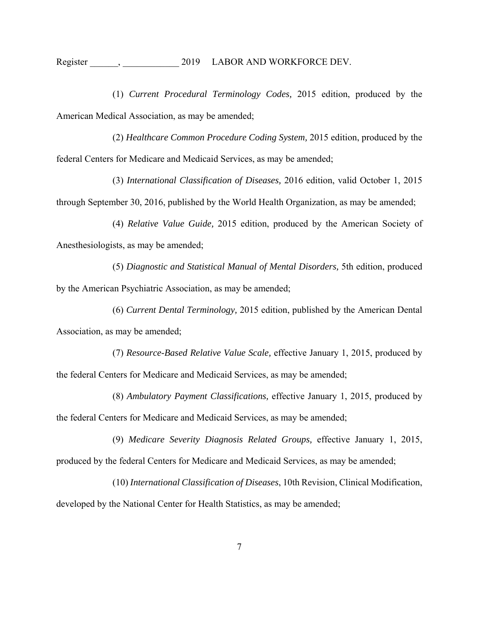Register ,  $2019$  LABOR AND WORKFORCE DEV.

 (1) *Current Procedural Terminology Codes,* 2015 edition, produced by the American Medical Association, as may be amended;

 (2) *Healthcare Common Procedure Coding System,* 2015 edition, produced by the federal Centers for Medicare and Medicaid Services, as may be amended;

 (3) *International Classification of Diseases,* 2016 edition, valid October 1, 2015 through September 30, 2016, published by the World Health Organization, as may be amended;

 (4) *Relative Value Guide,* 2015 edition, produced by the American Society of Anesthesiologists, as may be amended;

 (5) *Diagnostic and Statistical Manual of Mental Disorders,* 5th edition, produced by the American Psychiatric Association, as may be amended;

 (6) *Current Dental Terminology,* 2015 edition, published by the American Dental Association, as may be amended;

 (7) *Resource-Based Relative Value Scale,* effective January 1, 2015, produced by the federal Centers for Medicare and Medicaid Services, as may be amended;

 (8) *Ambulatory Payment Classifications,* effective January 1, 2015, produced by the federal Centers for Medicare and Medicaid Services, as may be amended;

 (9) *Medicare Severity Diagnosis Related Groups,* effective January 1, 2015, produced by the federal Centers for Medicare and Medicaid Services, as may be amended;

(10) *International Classification of Diseases*, 10th Revision, Clinical Modification, developed by the National Center for Health Statistics, as may be amended;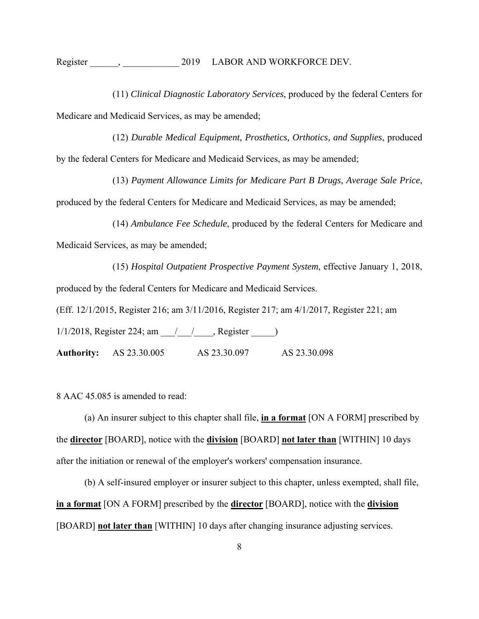(11) *Clinical Diagnostic Laboratory Services*, produced by the federal Centers for Medicare and Medicaid Services, as may be amended;

(12) *Durable Medical Equipment, Prosthetics, Orthotics, and Supplies*, produced by the federal Centers for Medicare and Medicaid Services, as may be amended;

(13) *Payment Allowance Limits for Medicare Part B Drugs, Average Sale Price*, produced by the federal Centers for Medicare and Medicaid Services, as may be amended;

(14) *Ambulance Fee Schedule*, produced by the federal Centers for Medicare and Medicaid Services, as may be amended;

(15) *Hospital Outpatient Prospective Payment System*, effective January 1, 2018, produced by the federal Centers for Medicare and Medicaid Services.

(Eff. 12/1/2015, Register 216; am 3/11/2016, Register 217; am 4/1/2017, Register 221; am

1/1/2018, Register 224; am \_\_\_/\_\_\_\_/\_\_\_\_, Register \_\_\_\_\_)

**Authority:** AS 23.30.005 AS 23.30.097 AS 23.30.098

8 AAC 45.085 is amended to read:

(a) An insurer subject to this chapter shall file, **in a format** [ON A FORM] prescribed by the **director** [BOARD], notice with the **division** [BOARD] **not later than** [WITHIN] 10 days after the initiation or renewal of the employer's workers' compensation insurance.

(b) A self-insured employer or insurer subject to this chapter, unless exempted, shall file, **in a format** [ON A FORM] prescribed by the **director** [BOARD], notice with the **division** [BOARD] **not later than** [WITHIN] 10 days after changing insurance adjusting services.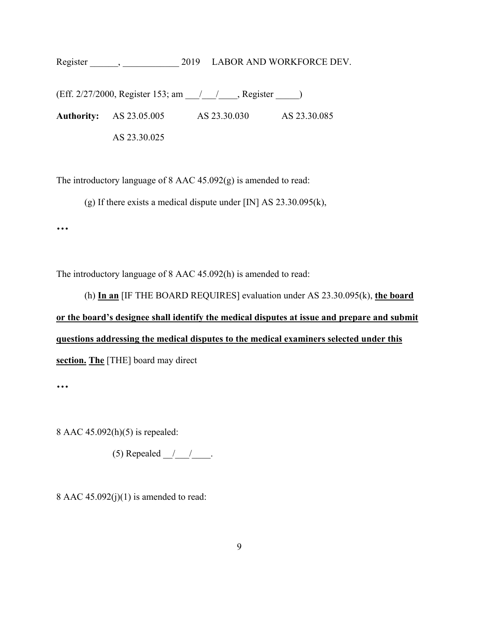(Eff. 2/27/2000, Register 153; am \_\_\_/\_\_\_/\_\_\_\_, Register \_\_\_\_\_) **Authority:** AS 23.05.005 AS 23.30.030 AS 23.30.085 AS 23.30.025

The introductory language of 8 AAC 45.092(g) is amended to read:

(g) If there exists a medical dispute under [IN] AS 23.30.095(k),

**…** 

The introductory language of 8 AAC 45.092(h) is amended to read:

(h) **In an** [IF THE BOARD REQUIRES] evaluation under AS 23.30.095(k), **the board or the board's designee shall identify the medical disputes at issue and prepare and submit questions addressing the medical disputes to the medical examiners selected under this section. The** [THE] board may direct

**…** 

8 AAC 45.092(h)(5) is repealed:

(5) Repealed  $\frac{1}{\sqrt{2}}$ .

8 AAC  $45.092(j)(1)$  is amended to read: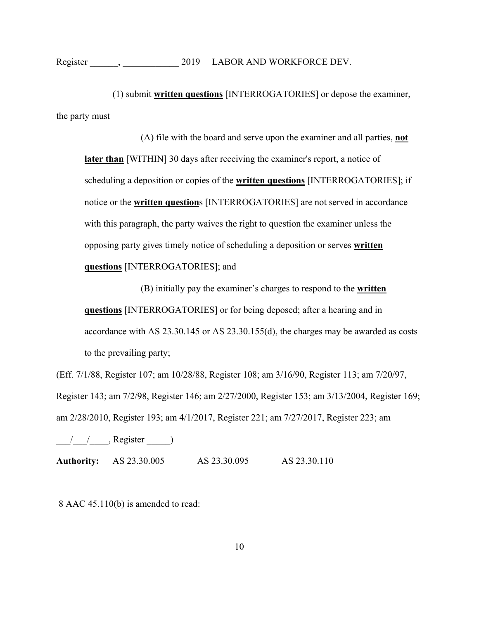(1) submit **written questions** [INTERROGATORIES] or depose the examiner, the party must

(A) file with the board and serve upon the examiner and all parties, **not later than** [WITHIN] 30 days after receiving the examiner's report, a notice of scheduling a deposition or copies of the **written questions** [INTERROGATORIES]; if notice or the **written question**s [INTERROGATORIES] are not served in accordance with this paragraph, the party waives the right to question the examiner unless the opposing party gives timely notice of scheduling a deposition or serves **written questions** [INTERROGATORIES]; and

(B) initially pay the examiner's charges to respond to the **written questions** [INTERROGATORIES] or for being deposed; after a hearing and in accordance with AS 23.30.145 or AS 23.30.155(d), the charges may be awarded as costs to the prevailing party;

(Eff. 7/1/88, Register 107; am 10/28/88, Register 108; am 3/16/90, Register 113; am 7/20/97, Register 143; am 7/2/98, Register 146; am 2/27/2000, Register 153; am 3/13/2004, Register 169; am 2/28/2010, Register 193; am 4/1/2017, Register 221; am 7/27/2017, Register 223; am

 $\frac{1}{2}$  /  $\frac{1}{2}$ , Register  $\frac{1}{2}$ 

**Authority:** AS 23.30.005 AS 23.30.095 AS 23.30.110

8 AAC 45.110(b) is amended to read: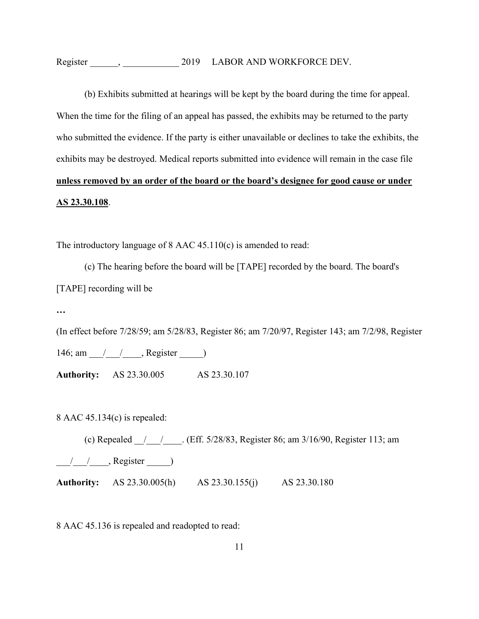(b) Exhibits submitted at hearings will be kept by the board during the time for appeal. When the time for the filing of an appeal has passed, the exhibits may be returned to the party who submitted the evidence. If the party is either unavailable or declines to take the exhibits, the exhibits may be destroyed. Medical reports submitted into evidence will remain in the case file **unless removed by an order of the board or the board's designee for good cause or under AS 23.30.108**.

The introductory language of 8 AAC 45.110(c) is amended to read:

(c) The hearing before the board will be [TAPE] recorded by the board. The board's [TAPE] recording will be

**…** 

(In effect before 7/28/59; am 5/28/83, Register 86; am 7/20/97, Register 143; am 7/2/98, Register 146; am / / , Register )

**Authority:** AS 23.30.005 AS 23.30.107

8 AAC 45.134(c) is repealed:

(c) Repealed \_\_/\_\_\_/\_\_\_\_. (Eff. 5/28/83, Register 86; am 3/16/90, Register 113; am  $/$  / , Register  $)$ **Authority:** AS 23.30.005(h) AS 23.30.155(j) AS 23.30.180

8 AAC 45.136 is repealed and readopted to read: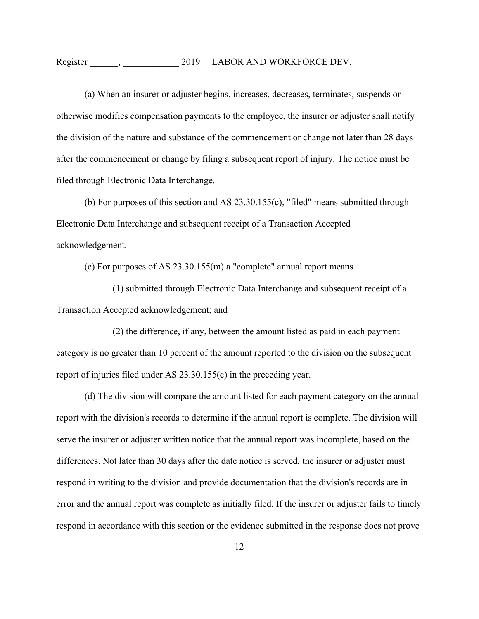Register  $\qquad \qquad , \qquad \qquad 2019 \qquad \text{LABOR AND WORKFORCE DEV.}$ 

(a) When an insurer or adjuster begins, increases, decreases, terminates, suspends or otherwise modifies compensation payments to the employee, the insurer or adjuster shall notify the division of the nature and substance of the commencement or change not later than 28 days after the commencement or change by filing a subsequent report of injury. The notice must be filed through Electronic Data Interchange.

(b) For purposes of this section and AS 23.30.155(c), "filed" means submitted through Electronic Data Interchange and subsequent receipt of a Transaction Accepted acknowledgement.

(c) For purposes of AS 23.30.155(m) a "complete" annual report means

 (1) submitted through Electronic Data Interchange and subsequent receipt of a Transaction Accepted acknowledgement; and

(2) the difference, if any, between the amount listed as paid in each payment category is no greater than 10 percent of the amount reported to the division on the subsequent report of injuries filed under AS 23.30.155(c) in the preceding year.

(d) The division will compare the amount listed for each payment category on the annual report with the division's records to determine if the annual report is complete. The division will serve the insurer or adjuster written notice that the annual report was incomplete, based on the differences. Not later than 30 days after the date notice is served, the insurer or adjuster must respond in writing to the division and provide documentation that the division's records are in error and the annual report was complete as initially filed. If the insurer or adjuster fails to timely respond in accordance with this section or the evidence submitted in the response does not prove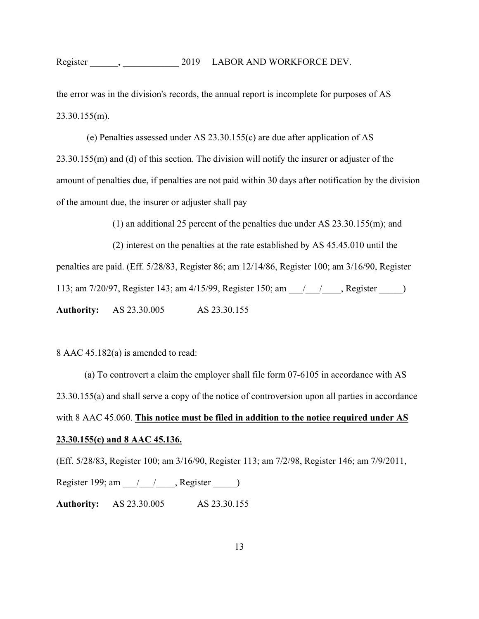Register ,  $2019$  LABOR AND WORKFORCE DEV.

the error was in the division's records, the annual report is incomplete for purposes of AS 23.30.155(m).

 (e) Penalties assessed under AS 23.30.155(c) are due after application of AS 23.30.155(m) and (d) of this section. The division will notify the insurer or adjuster of the amount of penalties due, if penalties are not paid within 30 days after notification by the division of the amount due, the insurer or adjuster shall pay

(1) an additional 25 percent of the penalties due under AS 23.30.155(m); and

(2) interest on the penalties at the rate established by AS 45.45.010 until the penalties are paid. (Eff. 5/28/83, Register 86; am 12/14/86, Register 100; am 3/16/90, Register 113; am 7/20/97, Register 143; am 4/15/99, Register 150; am \_\_\_/\_\_\_/\_\_\_\_, Register \_\_\_\_\_) **Authority:** AS 23.30.005 AS 23.30.155

8 AAC 45.182(a) is amended to read:

(a) To controvert a claim the employer shall file form 07-6105 in accordance with AS 23.30.155(a) and shall serve a copy of the notice of controversion upon all parties in accordance with 8 AAC 45.060. **This notice must be filed in addition to the notice required under AS 23.30.155(c) and 8 AAC 45.136.**

(Eff. 5/28/83, Register 100; am 3/16/90, Register 113; am 7/2/98, Register 146; am 7/9/2011, Register 199; am  $\frac{1}{2}$  , Register  $\frac{1}{2}$ **Authority:** AS 23.30.005 AS 23.30.155